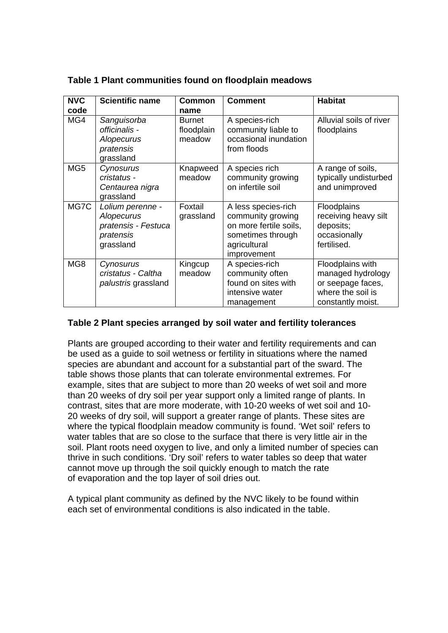| <b>NVC</b><br>code | <b>Scientific name</b>                                                          | <b>Common</b><br>name                 | <b>Comment</b>                                                                                                         | <b>Habitat</b>                                                                                       |
|--------------------|---------------------------------------------------------------------------------|---------------------------------------|------------------------------------------------------------------------------------------------------------------------|------------------------------------------------------------------------------------------------------|
| MG4                | Sanguisorba<br>officinalis -<br>Alopecurus<br>pratensis<br>grassland            | <b>Burnet</b><br>floodplain<br>meadow | A species-rich<br>community liable to<br>occasional inundation<br>from floods                                          | Alluvial soils of river<br>floodplains                                                               |
| MG <sub>5</sub>    | Cynosurus<br>cristatus -<br>Centaurea nigra<br>grassland                        | Knapweed<br>meadow                    | A species rich<br>community growing<br>on infertile soil                                                               | A range of soils,<br>typically undisturbed<br>and unimproved                                         |
| MG7C               | Lolium perenne -<br>Alopecurus<br>pratensis - Festuca<br>pratensis<br>grassland | Foxtail<br>grassland                  | A less species-rich<br>community growing<br>on more fertile soils,<br>sometimes through<br>agricultural<br>improvement | <b>Floodplains</b><br>receiving heavy silt<br>deposits;<br>occasionally<br>fertilised.               |
| MG8                | Cynosurus<br>cristatus - Caltha<br>palustris grassland                          | Kingcup<br>meadow                     | A species-rich<br>community often<br>found on sites with<br>intensive water<br>management                              | Floodplains with<br>managed hydrology<br>or seepage faces,<br>where the soil is<br>constantly moist. |

**Table 1 Plant communities found on floodplain meadows** 

## **Table 2 Plant species arranged by soil water and fertility tolerances**

Plants are grouped according to their water and fertility requirements and can be used as a guide to soil wetness or fertility in situations where the named species are abundant and account for a substantial part of the sward. The table shows those plants that can tolerate environmental extremes. For example, sites that are subject to more than 20 weeks of wet soil and more than 20 weeks of dry soil per year support only a limited range of plants. In contrast, sites that are more moderate, with 10-20 weeks of wet soil and 10- 20 weeks of dry soil, will support a greater range of plants. These sites are where the typical floodplain meadow community is found. 'Wet soil' refers to water tables that are so close to the surface that there is very little air in the soil. Plant roots need oxygen to live, and only a limited number of species can thrive in such conditions. 'Dry soil' refers to water tables so deep that water cannot move up through the soil quickly enough to match the rate of evaporation and the top layer of soil dries out.

A typical plant community as defined by the NVC likely to be found within each set of environmental conditions is also indicated in the table.